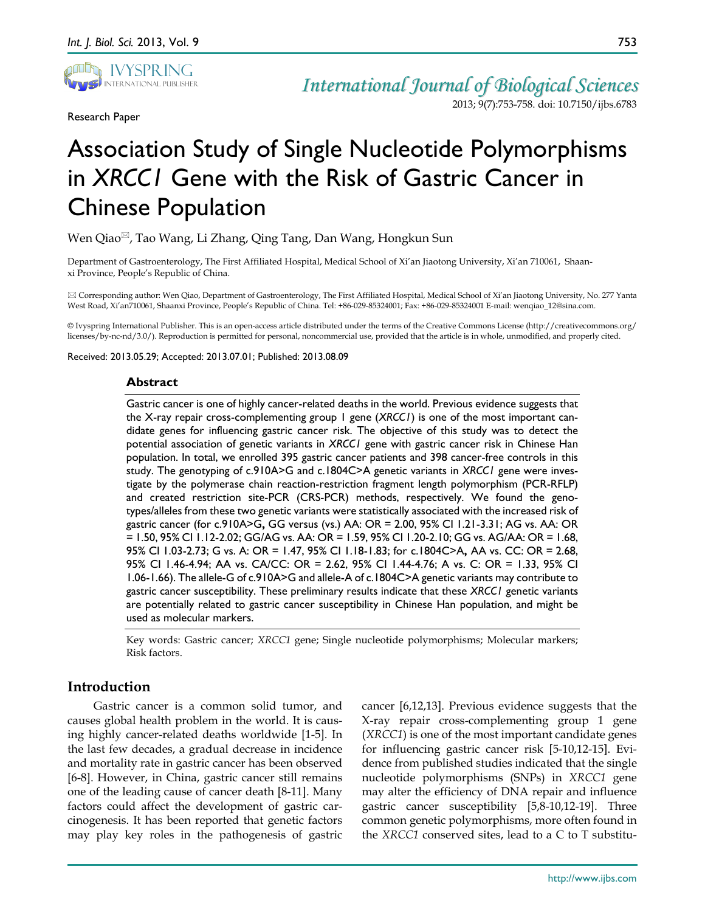

Research Paper

*International Journal of Biological Sciences* 2013; 9(7):753-758. doi: 10.7150/ijbs.6783

# Association Study of Single Nucleotide Polymorphisms in *XRCC1* Gene with the Risk of Gastric Cancer in Chinese Population

Wen Qiao<sup>⊠</sup>, Tao Wang, Li Zhang, Qing Tang, Dan Wang, Hongkun Sun

Department of Gastroenterology, The First Affiliated Hospital, Medical School of Xi'an Jiaotong University, Xi'an 710061, Shaanxi Province, People's Republic of China.

 Corresponding author: Wen Qiao, Department of Gastroenterology, The First Affiliated Hospital, Medical School of Xi'an Jiaotong University, No. 277 Yanta West Road, Xi'an710061, Shaanxi Province, People's Republic of China. Tel: +86-029-85324001; Fax: +86-029-85324001 E-mail: wenqiao\_12@sina.com.

© Ivyspring International Publisher. This is an open-access article distributed under the terms of the Creative Commons License (http://creativecommons.org/ licenses/by-nc-nd/3.0/). Reproduction is permitted for personal, noncommercial use, provided that the article is in whole, unmodified, and properly cited.

Received: 2013.05.29; Accepted: 2013.07.01; Published: 2013.08.09

### **Abstract**

Gastric cancer is one of highly cancer-related deaths in the world. Previous evidence suggests that the X-ray repair cross-complementing group 1 gene (*XRCC1*) is one of the most important candidate genes for influencing gastric cancer risk. The objective of this study was to detect the potential association of genetic variants in *XRCC1* gene with gastric cancer risk in Chinese Han population. In total, we enrolled 395 gastric cancer patients and 398 cancer-free controls in this study. The genotyping of c.910A>G and c.1804C>A genetic variants in *XRCC1* gene were investigate by the polymerase chain reaction-restriction fragment length polymorphism (PCR-RFLP) and created restriction site-PCR (CRS-PCR) methods, respectively. We found the genotypes/alleles from these two genetic variants were statistically associated with the increased risk of gastric cancer (for c.910A>G**,** GG versus (vs.) AA: OR = 2.00, 95% CI 1.21-3.31; AG vs. AA: OR = 1.50, 95% CI 1.12-2.02; GG/AG vs. AA: OR = 1.59, 95% CI 1.20-2.10; GG vs. AG/AA: OR = 1.68, 95% CI 1.03-2.73; G vs. A: OR = 1.47, 95% CI 1.18-1.83; for c.1804C>A**,** AA vs. CC: OR = 2.68, 95% CI 1.46-4.94; AA vs. CA/CC: OR = 2.62, 95% CI 1.44-4.76; A vs. C: OR = 1.33, 95% CI 1.06-1.66). The allele-G of c.910A>G and allele-A of c.1804C>A genetic variants may contribute to gastric cancer susceptibility. These preliminary results indicate that these *XRCC1* genetic variants are potentially related to gastric cancer susceptibility in Chinese Han population, and might be used as molecular markers.

Key words: Gastric cancer; *XRCC1* gene; Single nucleotide polymorphisms; Molecular markers; Risk factors.

# **Introduction**

Gastric cancer is a common solid tumor, and causes global health problem in the world. It is causing highly cancer-related deaths worldwide [1-5]. In the last few decades, a gradual decrease in incidence and mortality rate in gastric cancer has been observed [6-8]. However, in China, gastric cancer still remains one of the leading cause of cancer death [8-11]. Many factors could affect the development of gastric carcinogenesis. It has been reported that genetic factors may play key roles in the pathogenesis of gastric

cancer [6,12,13]. Previous evidence suggests that the X-ray repair cross-complementing group 1 gene (*XRCC1*) is one of the most important candidate genes for influencing gastric cancer risk [5-10,12-15]. Evidence from published studies indicated that the single nucleotide polymorphisms (SNPs) in *XRCC1* gene may alter the efficiency of DNA repair and influence gastric cancer susceptibility [5,8-10,12-19]. Three common genetic polymorphisms, more often found in the *XRCC1* conserved sites, lead to a C to T substitu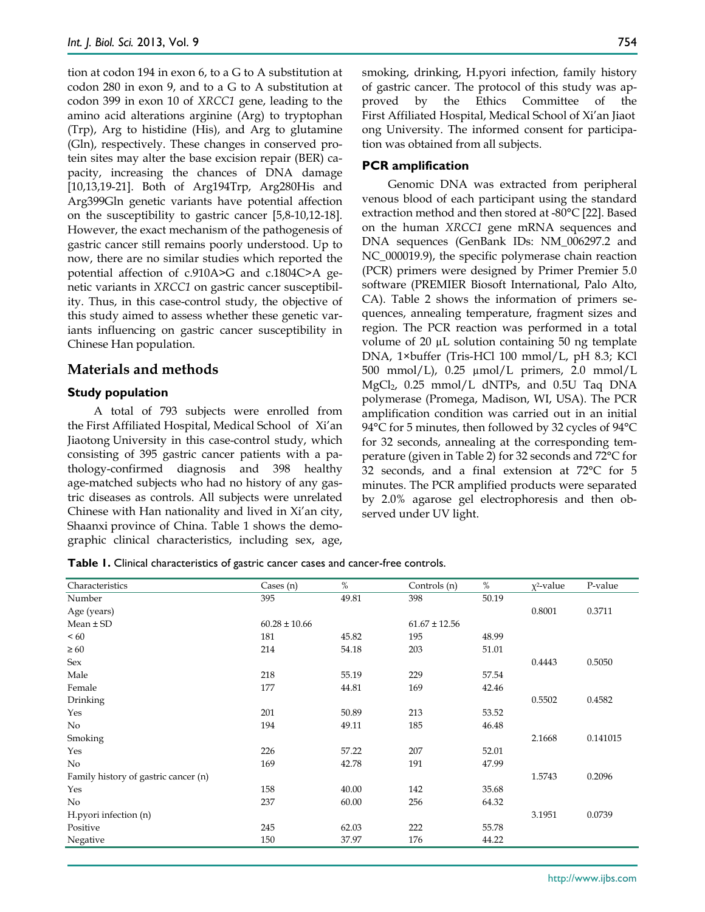tion at codon 194 in exon 6, to a G to A substitution at codon 280 in exon 9, and to a G to A substitution at codon 399 in exon 10 of *XRCC1* gene, leading to the amino acid alterations arginine (Arg) to tryptophan (Trp), Arg to histidine (His), and Arg to glutamine (Gln), respectively. These changes in conserved protein sites may alter the base excision repair (BER) capacity, increasing the chances of DNA damage [10,13,19-21]. Both of Arg194Trp, Arg280His and Arg399Gln genetic variants have potential affection on the susceptibility to gastric cancer [5,8-10,12-18]. However, the exact mechanism of the pathogenesis of gastric cancer still remains poorly understood. Up to now, there are no similar studies which reported the potential affection of c.910A>G and c.1804C>A genetic variants in *XRCC1* on gastric cancer susceptibility. Thus, in this case-control study, the objective of this study aimed to assess whether these genetic variants influencing on gastric cancer susceptibility in Chinese Han population.

## **Materials and methods**

## **Study population**

A total of 793 subjects were enrolled from the First Affiliated Hospital, Medical School of Xi'an Jiaotong University in this case-control study, which consisting of 395 gastric cancer patients with a pathology-confirmed diagnosis and 398 healthy age-matched subjects who had no history of any gastric diseases as controls. All subjects were unrelated Chinese with Han nationality and lived in Xi'an city, Shaanxi province of China. Table 1 shows the demographic clinical characteristics, including sex, age,

smoking, drinking, H.pyori infection, family history of gastric cancer. The protocol of this study was approved by the Ethics Committee of the First Affiliated Hospital, Medical School of Xi'an Jiaot ong University. The informed consent for participation was obtained from all subjects.

## **PCR amplification**

Genomic DNA was extracted from peripheral venous blood of each participant using the standard extraction method and then stored at -80°C [22]. Based on the human *XRCC1* gene mRNA sequences and DNA sequences (GenBank IDs: NM\_006297.2 and NC\_000019.9), the specific polymerase chain reaction (PCR) primers were designed by Primer Premier 5.0 software (PREMIER Biosoft International, Palo Alto, CA). Table 2 shows the information of primers sequences, annealing temperature, fragment sizes and region. The PCR reaction was performed in a total volume of  $20 \mu L$  solution containing  $50 \text{ ng template}$ DNA, 1×buffer (Tris-HCl 100 mmol/L, pH 8.3; KCl 500 mmol/L), 0.25 µmol/L primers, 2.0 mmol/L  $MgCl<sub>2</sub>$ , 0.25 mmol/L dNTPs, and 0.5U Taq DNA polymerase (Promega, Madison, WI, USA). The PCR amplification condition was carried out in an initial 94°C for 5 minutes, then followed by 32 cycles of 94°C for 32 seconds, annealing at the corresponding temperature (given in Table 2) for 32 seconds and 72°C for 32 seconds, and a final extension at 72°C for 5 minutes. The PCR amplified products were separated by 2.0% agarose gel electrophoresis and then observed under UV light.

| Table 1. Clinical characteristics of gastric cancer cases and cancer-free controls. |  |
|-------------------------------------------------------------------------------------|--|
|-------------------------------------------------------------------------------------|--|

| Characteristics                      | Cases $(n)$       | $\%$  | Controls (n)      | %     | $x^2$ -value | P-value  |
|--------------------------------------|-------------------|-------|-------------------|-------|--------------|----------|
| Number                               | 395               | 49.81 | 398               | 50.19 |              |          |
| Age (years)                          |                   |       |                   |       | 0.8001       | 0.3711   |
| $Mean \pm SD$                        | $60.28 \pm 10.66$ |       | $61.67 \pm 12.56$ |       |              |          |
| < 60                                 | 181               | 45.82 | 195               | 48.99 |              |          |
| $\geq 60$                            | 214               | 54.18 | 203               | 51.01 |              |          |
| Sex                                  |                   |       |                   |       | 0.4443       | 0.5050   |
| Male                                 | 218               | 55.19 | 229               | 57.54 |              |          |
| Female                               | 177               | 44.81 | 169               | 42.46 |              |          |
| Drinking                             |                   |       |                   |       | 0.5502       | 0.4582   |
| Yes                                  | 201               | 50.89 | 213               | 53.52 |              |          |
| No                                   | 194               | 49.11 | 185               | 46.48 |              |          |
| Smoking                              |                   |       |                   |       | 2.1668       | 0.141015 |
| Yes                                  | 226               | 57.22 | 207               | 52.01 |              |          |
| No                                   | 169               | 42.78 | 191               | 47.99 |              |          |
| Family history of gastric cancer (n) |                   |       |                   |       | 1.5743       | 0.2096   |
| Yes                                  | 158               | 40.00 | 142               | 35.68 |              |          |
| No                                   | 237               | 60.00 | 256               | 64.32 |              |          |
| H.pyori infection (n)                |                   |       |                   |       | 3.1951       | 0.0739   |
| Positive                             | 245               | 62.03 | 222               | 55.78 |              |          |
| Negative                             | 150               | 37.97 | 176               | 44.22 |              |          |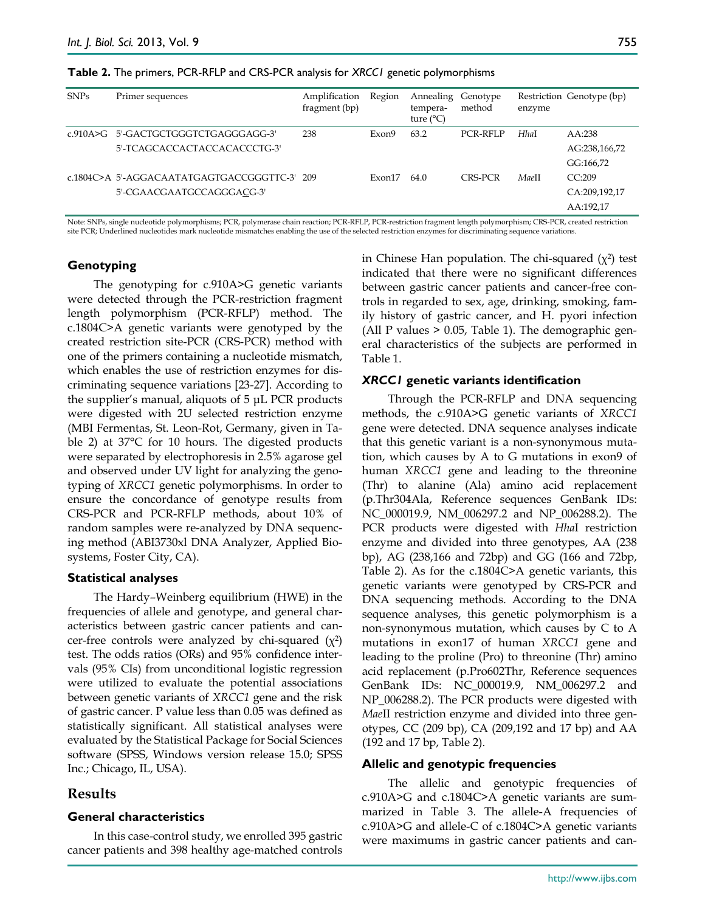| <b>SNPs</b> | Primer sequences                             | Amplification<br>fragment (bp) | Region | Annealing Genotype<br>tempera-<br>ture $(^{\circ}C)$ | method   | enzyme | Restriction Genotype (bp) |
|-------------|----------------------------------------------|--------------------------------|--------|------------------------------------------------------|----------|--------|---------------------------|
| $c$ 910A>G  | 5'-GACTGCTGGGTCTGAGGGAGG-3'                  | 238                            | Exon9  | 63.2                                                 | PCR-RFLP | Hhal   | AA:238                    |
|             | 5'-TCAGCACCACTACCACACCCTG-3'                 |                                |        |                                                      |          |        | AG:238,166,72             |
|             |                                              |                                |        |                                                      |          |        | GG:166,72                 |
|             | c.1804C>A_5'-AGGACAATATGAGTGACCGGGTTC-3'_209 |                                | Exon17 | 64.0                                                 | CRS-PCR  | MaeII  | CC:209                    |
|             | 5'-CGAACGAATGCCAGGGACG-3'                    |                                |        |                                                      |          |        | CA:209,192,17             |
|             |                                              |                                |        |                                                      |          |        | AA:192,17                 |

Note: SNPs, single nucleotide polymorphisms; PCR, polymerase chain reaction; PCR-RFLP, PCR-restriction fragment length polymorphism; CRS-PCR, created restriction site PCR; Underlined nucleotides mark nucleotide mismatches enabling the use of the selected restriction enzymes for discriminating sequence variations.

### **Genotyping**

The genotyping for c.910A>G genetic variants were detected through the PCR-restriction fragment length polymorphism (PCR-RFLP) method. The c.1804C>A genetic variants were genotyped by the created restriction site-PCR (CRS-PCR) method with one of the primers containing a nucleotide mismatch, which enables the use of restriction enzymes for discriminating sequence variations [23-27]. According to the supplier's manual, aliquots of 5 μL PCR products were digested with 2U selected restriction enzyme (MBI Fermentas, St. Leon-Rot, Germany, given in Table 2) at 37°C for 10 hours. The digested products were separated by electrophoresis in 2.5% agarose gel and observed under UV light for analyzing the genotyping of *XRCC1* genetic polymorphisms. In order to ensure the concordance of genotype results from CRS-PCR and PCR-RFLP methods, about 10% of random samples were re-analyzed by DNA sequencing method (ABI3730xl DNA Analyzer, Applied Biosystems, Foster City, CA).

#### **Statistical analyses**

The Hardy–Weinberg equilibrium (HWE) in the frequencies of allele and genotype, and general characteristics between gastric cancer patients and cancer-free controls were analyzed by chi-squared  $(\chi^2)$ test. The odds ratios (ORs) and 95% confidence intervals (95% CIs) from unconditional logistic regression were utilized to evaluate the potential associations between genetic variants of *XRCC1* gene and the risk of gastric cancer. P value less than 0.05 was defined as statistically significant. All statistical analyses were evaluated by the Statistical Package for Social Sciences software (SPSS, Windows version release 15.0; SPSS Inc.; Chicago, IL, USA).

## **Results**

#### **General characteristics**

In this case-control study, we enrolled 395 gastric cancer patients and 398 healthy age-matched controls in Chinese Han population. The chi-squared  $(\chi^2)$  test indicated that there were no significant differences between gastric cancer patients and cancer-free controls in regarded to sex, age, drinking, smoking, family history of gastric cancer, and H. pyori infection (All P values > 0.05, Table 1). The demographic general characteristics of the subjects are performed in Table 1.

#### *XRCC1* **genetic variants identification**

Through the PCR-RFLP and DNA sequencing methods, the c.910A>G genetic variants of *XRCC1* gene were detected. DNA sequence analyses indicate that this genetic variant is a non-synonymous mutation, which causes by A to G mutations in exon9 of human *XRCC1* gene and leading to the threonine (Thr) to alanine (Ala) amino acid replacement (p.Thr304Ala, Reference sequences GenBank IDs: NC\_000019.9, NM\_006297.2 and NP\_006288.2). The PCR products were digested with *Hha*I restriction enzyme and divided into three genotypes, AA (238 bp), AG (238,166 and 72bp) and GG (166 and 72bp, Table 2). As for the c.1804C>A genetic variants, this genetic variants were genotyped by CRS-PCR and DNA sequencing methods. According to the DNA sequence analyses, this genetic polymorphism is a non-synonymous mutation, which causes by C to A mutations in exon17 of human *XRCC1* gene and leading to the proline (Pro) to threonine (Thr) amino acid replacement (p.Pro602Thr, Reference sequences GenBank IDs: NC\_000019.9, NM\_006297.2 and NP\_006288.2). The PCR products were digested with *Mae*II restriction enzyme and divided into three genotypes, CC (209 bp), CA (209,192 and 17 bp) and AA (192 and 17 bp, Table 2).

#### **Allelic and genotypic frequencies**

The allelic and genotypic frequencies of c.910A>G and c.1804C>A genetic variants are summarized in Table 3. The allele-A frequencies of c.910A>G and allele-C of c.1804C>A genetic variants were maximums in gastric cancer patients and can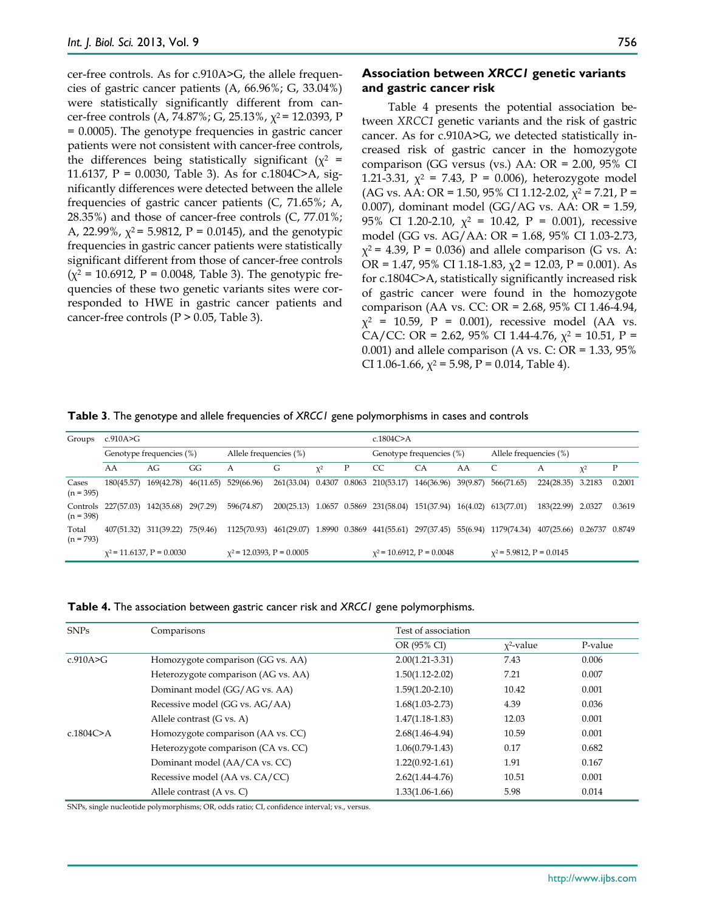cer-free controls. As for c.910A>G, the allele frequencies of gastric cancer patients (A, 66.96%; G, 33.04%) were statistically significantly different from cancer-free controls (A, 74.87%; G, 25.13%,  $\chi^2$  = 12.0393, P = 0.0005). The genotype frequencies in gastric cancer patients were not consistent with cancer-free controls, the differences being statistically significant ( $\chi^2$  = 11.6137, P = 0.0030, Table 3). As for c.1804C>A, significantly differences were detected between the allele frequencies of gastric cancer patients (C, 71.65%; A, 28.35%) and those of cancer-free controls (C, 77.01%; A, 22.99%,  $\chi^2$  = 5.9812, P = 0.0145), and the genotypic frequencies in gastric cancer patients were statistically significant different from those of cancer-free controls  $(\chi^2 = 10.6912, P = 0.0048,$  Table 3). The genotypic frequencies of these two genetic variants sites were corresponded to HWE in gastric cancer patients and cancer-free controls ( $P > 0.05$ , Table 3).

## **Association between** *XRCC1* **genetic variants and gastric cancer risk**

Table 4 presents the potential association between *XRCC1* genetic variants and the risk of gastric cancer. As for c.910A>G, we detected statistically increased risk of gastric cancer in the homozygote comparison (GG versus (vs.) AA: OR = 2.00, 95% CI 1.21-3.31,  $\chi^2$  = 7.43, P = 0.006), heterozygote model (AG vs. AA: OR = 1.50, 95% CI 1.12-2.02,  $\chi^2$  = 7.21, P = 0.007), dominant model (GG/AG vs. AA: OR = 1.59, 95% CI 1.20-2.10,  $\chi^2$  = 10.42, P = 0.001), recessive model (GG vs. AG/AA: OR = 1.68, 95% CI 1.03-2.73,  $\chi^2$  = 4.39, P = 0.036) and allele comparison (G vs. A: OR = 1.47, 95% CI 1.18-1.83,  $\chi$ 2 = 12.03, P = 0.001). As for c.1804C>A, statistically significantly increased risk of gastric cancer were found in the homozygote comparison (AA vs. CC: OR = 2.68, 95% CI 1.46-4.94,  $\chi^2$  = 10.59, P = 0.001), recessive model (AA vs. CA/CC: OR = 2.62, 95% CI 1.44-4.76,  $\chi^2$  = 10.51, P = 0.001) and allele comparison (A vs. C: OR =  $1.33$ ,  $95\%$ CI 1.06-1.66,  $\chi^2$  = 5.98, P = 0.014, Table 4).

| Table 3. The genotype and allele frequencies of XRCC1 gene polymorphisms in cases and controls |  |
|------------------------------------------------------------------------------------------------|--|
|------------------------------------------------------------------------------------------------|--|

| Groups               | c.910A $\geq$ G                |                       |           |                                |                                     |          |                                | c.1804 $C$ >A                       |                                                         |          |                                 |                           |          |        |
|----------------------|--------------------------------|-----------------------|-----------|--------------------------------|-------------------------------------|----------|--------------------------------|-------------------------------------|---------------------------------------------------------|----------|---------------------------------|---------------------------|----------|--------|
|                      | Genotype frequencies (%)       |                       |           | Allele frequencies (%)         |                                     |          | Genotype frequencies (%)       |                                     | Allele frequencies (%)                                  |          |                                 |                           |          |        |
|                      | AA                             | AG                    | GG        | А                              | G                                   | $\chi^2$ | Ρ                              | CC                                  | CA                                                      | AA       |                                 | А                         | $\chi^2$ | Ρ      |
| Cases<br>$(n = 395)$ | 180(45.57)                     | 169(42.78)            | 46(11.65) | 529(66.96)                     |                                     |          |                                |                                     | 261(33.04) 0.4307 0.8063 210(53.17) 146(36.96) 39(9.87) |          | 566(71.65)                      | 224(28.35)                | 3.2183   | 0.2001 |
| $(n = 398)$          | Controls 227(57.03)            | 142(35.68) 29(7.29)   |           | 596(74.87)                     |                                     |          |                                | 200(25.13) 1.0657 0.5869 231(58.04) | 151(37.94)                                              | 16(4.02) | 613(77.01)                      | 183(22.99)                | 2.0327   | 0.3619 |
| Total<br>$(n = 793)$ |                                | 407(51.32) 311(39.22) | 75(9.46)  | 1125(70.93)                    | 461(29.07) 1.8990 0.3869 441(55.61) |          |                                |                                     |                                                         |          | 297(37.45) 55(6.94) 1179(74.34) | 407(25.66) 0.26737 0.8749 |          |        |
|                      | $\chi^2$ = 11.6137, P = 0.0030 |                       |           | $\chi^2$ = 12.0393, P = 0.0005 |                                     |          | $\chi^2$ = 10.6912, P = 0.0048 |                                     | $\chi^2$ = 5.9812, P = 0.0145                           |          |                                 |                           |          |        |

| <b>SNPs</b> | Comparisons                         | Test of association |              |         |  |  |  |
|-------------|-------------------------------------|---------------------|--------------|---------|--|--|--|
|             |                                     | OR (95% CI)         | $x^2$ -value | P-value |  |  |  |
| c.910A>G    | Homozygote comparison (GG vs. AA)   | $2.00(1.21 - 3.31)$ | 7.43         | 0.006   |  |  |  |
|             | Heterozygote comparison (AG vs. AA) | $1.50(1.12 - 2.02)$ | 7.21         | 0.007   |  |  |  |
|             | Dominant model (GG/AG vs. AA)       | $1.59(1.20 - 2.10)$ | 10.42        | 0.001   |  |  |  |
|             | Recessive model (GG vs. AG/AA)      | $1.68(1.03 - 2.73)$ | 4.39         | 0.036   |  |  |  |
|             | Allele contrast (G vs. A)           | $1.47(1.18-1.83)$   | 12.03        | 0.001   |  |  |  |
| c.1804C > A | Homozygote comparison (AA vs. CC)   | $2.68(1.46 - 4.94)$ | 10.59        | 0.001   |  |  |  |
|             | Heterozygote comparison (CA vs. CC) | $1.06(0.79-1.43)$   | 0.17         | 0.682   |  |  |  |
|             | Dominant model (AA/CA vs. CC)       | $1.22(0.92 - 1.61)$ | 1.91         | 0.167   |  |  |  |
|             | Recessive model (AA vs. CA/CC)      | $2.62(1.44 - 4.76)$ | 10.51        | 0.001   |  |  |  |
|             | Allele contrast (A vs. C)           | $1.33(1.06-1.66)$   | 5.98         | 0.014   |  |  |  |

SNPs, single nucleotide polymorphisms; OR, odds ratio; CI, confidence interval; vs., versus.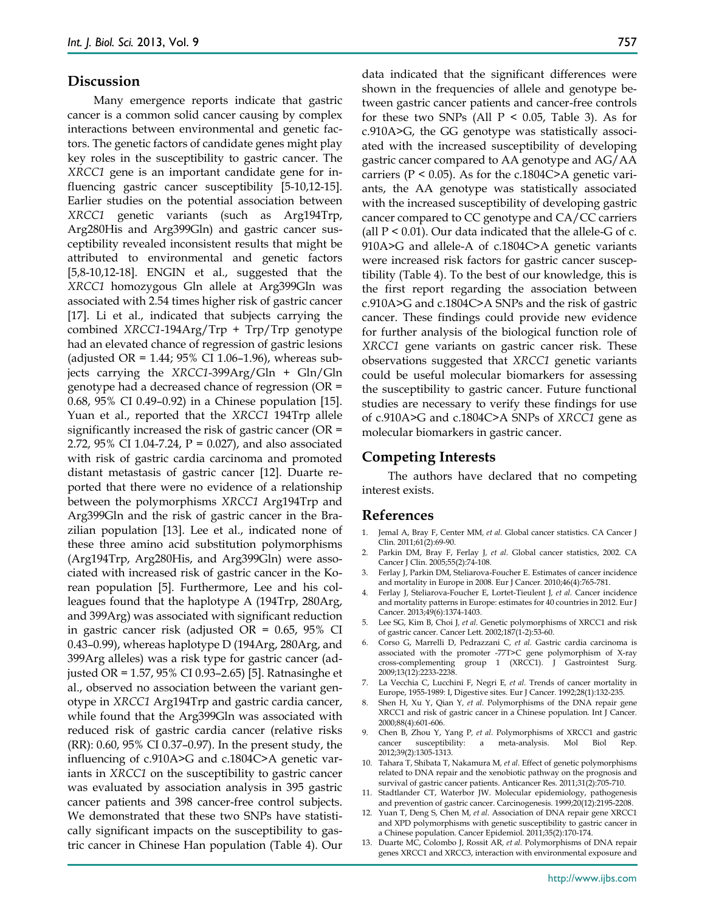## **Discussion**

Many emergence reports indicate that gastric cancer is a common solid cancer causing by complex interactions between environmental and genetic factors. The genetic factors of candidate genes might play key roles in the susceptibility to gastric cancer. The *XRCC1* gene is an important candidate gene for influencing gastric cancer susceptibility [5-10,12-15]. Earlier studies on the potential association between *XRCC1* genetic variants (such as Arg194Trp, Arg280His and Arg399Gln) and gastric cancer susceptibility revealed inconsistent results that might be attributed to environmental and genetic factors [5,8-10,12-18]. ENGIN et al., suggested that the *XRCC1* homozygous Gln allele at Arg399Gln was associated with 2.54 times higher risk of gastric cancer [17]. Li et al., indicated that subjects carrying the combined *XRCC1*-194Arg/Trp + Trp/Trp genotype had an elevated chance of regression of gastric lesions (adjusted OR = 1.44;  $95\%$  CI 1.06-1.96), whereas subjects carrying the *XRCC1*-399Arg/Gln + Gln/Gln genotype had a decreased chance of regression (OR = 0.68, 95% CI 0.49–0.92) in a Chinese population [15]. Yuan et al., reported that the *XRCC1* 194Trp allele significantly increased the risk of gastric cancer (OR = 2.72, 95% CI 1.04-7.24, P = 0.027), and also associated with risk of gastric cardia carcinoma and promoted distant metastasis of gastric cancer [12]. Duarte reported that there were no evidence of a relationship between the polymorphisms *XRCC1* Arg194Trp and Arg399Gln and the risk of gastric cancer in the Brazilian population [13]. Lee et al., indicated none of these three amino acid substitution polymorphisms (Arg194Trp, Arg280His, and Arg399Gln) were associated with increased risk of gastric cancer in the Korean population [5]. Furthermore, Lee and his colleagues found that the haplotype A (194Trp, 280Arg, and 399Arg) was associated with significant reduction in gastric cancer risk (adjusted OR = 0.65, 95% CI 0.43–0.99), whereas haplotype D (194Arg, 280Arg, and 399Arg alleles) was a risk type for gastric cancer (adjusted OR = 1.57, 95% CI 0.93–2.65) [5]. Ratnasinghe et al., observed no association between the variant genotype in *XRCC1* Arg194Trp and gastric cardia cancer, while found that the Arg399Gln was associated with reduced risk of gastric cardia cancer (relative risks (RR): 0.60, 95% CI 0.37–0.97). In the present study, the influencing of c.910A>G and c.1804C>A genetic variants in *XRCC1* on the susceptibility to gastric cancer was evaluated by association analysis in 395 gastric cancer patients and 398 cancer-free control subjects. We demonstrated that these two SNPs have statistically significant impacts on the susceptibility to gastric cancer in Chinese Han population (Table 4). Our

data indicated that the significant differences were shown in the frequencies of allele and genotype between gastric cancer patients and cancer-free controls for these two SNPs (All  $P < 0.05$ , Table 3). As for c.910A>G, the GG genotype was statistically associated with the increased susceptibility of developing gastric cancer compared to AA genotype and AG/AA carriers ( $P < 0.05$ ). As for the c.1804C>A genetic variants, the AA genotype was statistically associated with the increased susceptibility of developing gastric cancer compared to CC genotype and CA/CC carriers (all  $P < 0.01$ ). Our data indicated that the allele-G of c. 910A>G and allele-A of c.1804C>A genetic variants were increased risk factors for gastric cancer susceptibility (Table 4). To the best of our knowledge, this is the first report regarding the association between c.910A>G and c.1804C>A SNPs and the risk of gastric cancer. These findings could provide new evidence for further analysis of the biological function role of *XRCC1* gene variants on gastric cancer risk. These observations suggested that *XRCC1* genetic variants could be useful molecular biomarkers for assessing the susceptibility to gastric cancer. Future functional studies are necessary to verify these findings for use of c.910A>G and c.1804C>A SNPs of *XRCC1* gene as molecular biomarkers in gastric cancer.

## **Competing Interests**

The authors have declared that no competing interest exists.

#### **References**

- 1. Jemal A, Bray F, Center MM*, et al.* Global cancer statistics. CA Cancer J Clin*.* 2011;61(2):69-90.
- 2. Parkin DM, Bray F, Ferlay J*, et al.* Global cancer statistics, 2002. CA Cancer J Clin*.* 2005;55(2):74-108.
- 3. Ferlay J, Parkin DM, Steliarova-Foucher E. Estimates of cancer incidence and mortality in Europe in 2008. Eur J Cancer*.* 2010;46(4):765-781.
- 4. Ferlay J, Steliarova-Foucher E, Lortet-Tieulent J*, et al.* Cancer incidence and mortality patterns in Europe: estimates for 40 countries in 2012. Eur J Cancer*.* 2013;49(6):1374-1403.
- 5. Lee SG, Kim B, Choi J*, et al.* Genetic polymorphisms of XRCC1 and risk of gastric cancer. Cancer Lett*.* 2002;187(1-2):53-60.
- 6. Corso G, Marrelli D, Pedrazzani C*, et al.* Gastric cardia carcinoma is associated with the promoter -77T>C gene polymorphism of X-ray cross-complementing group 1 (XRCC1). J Gastrointest Surg*.* 2009;13(12):2233-2238.
- 7. La Vecchia C, Lucchini F, Negri E*, et al.* Trends of cancer mortality in Europe, 1955-1989: I, Digestive sites. Eur J Cancer*.* 1992;28(1):132-235.
- 8. Shen H, Xu Y, Qian Y*, et al.* Polymorphisms of the DNA repair gene XRCC1 and risk of gastric cancer in a Chinese population. Int J Cancer*.* 2000;88(4):601-606.
- 9. Chen B, Zhou Y, Yang P*, et al.* Polymorphisms of XRCC1 and gastric cancer susceptibility: a meta-analysis. Mol Biol Rep*.* 2012;39(2):1305-1313.
- 10. Tahara T, Shibata T, Nakamura M*, et al.* Effect of genetic polymorphisms related to DNA repair and the xenobiotic pathway on the prognosis and survival of gastric cancer patients. Anticancer Res*.* 2011;31(2):705-710.
- 11. Stadtlander CT, Waterbor JW. Molecular epidemiology, pathogenesis and prevention of gastric cancer. Carcinogenesis*.* 1999;20(12):2195-2208.
- 12. Yuan T, Deng S, Chen M*, et al.* Association of DNA repair gene XRCC1 and XPD polymorphisms with genetic susceptibility to gastric cancer in a Chinese population. Cancer Epidemiol*.* 2011;35(2):170-174.
- 13. Duarte MC, Colombo J, Rossit AR*, et al.* Polymorphisms of DNA repair genes XRCC1 and XRCC3, interaction with environmental exposure and